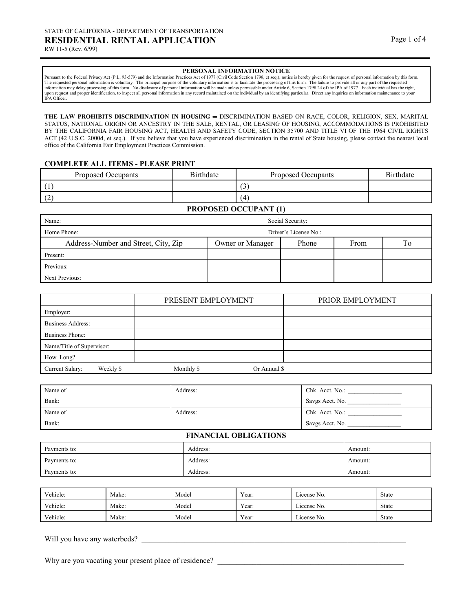Pursuant to the Federal Privacy Act (P.L. 93-579) and the Information Practices Act of 1977 (Civil Code Section 1798, et seq.), notice is hereby given for the request of personal information by this form.<br>The requested per upon request and proper identification, to inspect all personal information in any record maintained on the individual by an identifying particular. Direct any inquiries on information maintenance to your IPA Officer.

**THE LAW PROHIBITS DISCRIMINATION IN HOUSING** — DISCRIMINATION BASED ON RACE, COLOR, RELIGION, SEX, MARITAL STATUS, NATIONAL ORIGIN OR ANCESTRY IN THE SALE, RENTAL, OR LEASING OF HOUSING, ACCOMMODATIONS IS PROHIBITED BY THE CALIFORNIA FAIR HOUSING ACT, HEALTH AND SAFETY CODE, SECTION 35700 AND TITLE VI OF THE 1964 CIVIL RIGHTS ACT (42 U.S.C. 2000d, et seq.). If you believe that you have experienced discrimination in the rental of State housing, please contact the nearest local office of the California Fair Employment Practices Commission.

#### **COMPLETE ALL ITEMS - PLEASE PRINT**

| Proposed Occupants | Birthdate | Proposed Occupants | <b>Birthdate</b> |
|--------------------|-----------|--------------------|------------------|
|                    |           | $\sim$             |                  |
| $\sqrt{2}$<br>12   |           | $\Delta$           |                  |

**PROPOSED OCCUPANT (1)** 

| Name:                                |                  | Social Security:      |      |    |
|--------------------------------------|------------------|-----------------------|------|----|
| Home Phone:                          |                  | Driver's License No.: |      |    |
| Address-Number and Street, City, Zip | Owner or Manager | Phone                 | From | To |
| Present:                             |                  |                       |      |    |
| Previous:                            |                  |                       |      |    |
| Next Previous:                       |                  |                       |      |    |

|                              | PRESENT EMPLOYMENT         | PRIOR EMPLOYMENT |
|------------------------------|----------------------------|------------------|
| Employer:                    |                            |                  |
| Business Address:            |                            |                  |
| Business Phone:              |                            |                  |
| Name/Title of Supervisor:    |                            |                  |
| How Long?                    |                            |                  |
| Current Salary:<br>Weekly \$ | Monthly \$<br>Or Annual \$ |                  |

| Name of | Address: | Chk. Acct. No.: |
|---------|----------|-----------------|
| Bank:   |          | Savgs Acct. No. |
| Name of | Address: | Chk. Acct. No.: |
| Bank:   |          | Savgs Acct. No. |

#### **FINANCIAL OBLIGATIONS**

| Payments to: | Address: | Amount: |
|--------------|----------|---------|
| Payments to: | Address: | Amount: |
| Payments to: | Address: | Amount: |

| Vehicle: | Make: | Model | Year: | License No. | State        |
|----------|-------|-------|-------|-------------|--------------|
| Vehicle: | Make: | Model | Year: | License No. | <b>State</b> |
| Vehicle: | Make: | Model | Year: | License No. | State        |

Will you have any waterbeds? \_\_\_\_\_\_\_\_\_\_\_\_\_\_\_\_\_\_\_\_\_\_\_\_\_\_\_\_\_\_\_\_\_\_\_\_\_\_\_\_\_\_\_\_\_\_\_\_\_\_\_\_\_\_\_\_\_\_\_\_\_\_\_\_\_\_\_\_

Why are you vacating your present place of residence?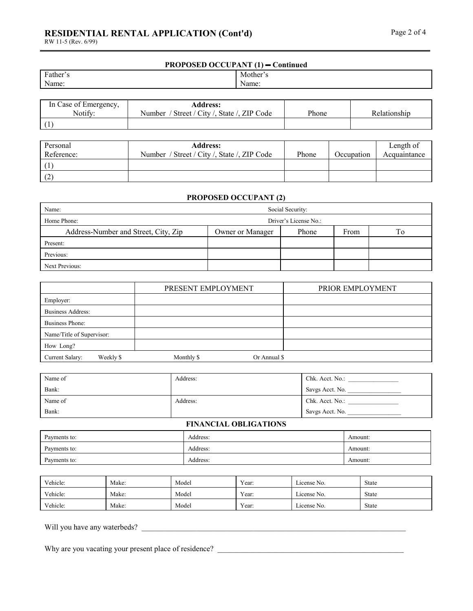## **RESIDENTIAL RENTAL APPLICATION (Cont'd)** Page 2 of 4

RW 11-5 (Rev. 6/99)

| <b>PROPOSED OCCUPANT (1) - Continued</b> |          |  |
|------------------------------------------|----------|--|
| Father's                                 | Mother's |  |
| Name:                                    | Name:    |  |
|                                          |          |  |

| In Case of Emergency, | <b>Address:</b>                                |       |              |
|-----------------------|------------------------------------------------|-------|--------------|
| Notify:               | / Street / City /, State /, ZIP Code<br>Number | Phone | Relationship |
|                       |                                                |       |              |

| Personal<br>Reference: | <b>Address:</b><br>Number / Street / City /, State /, ZIP Code | Phone | Occupation | Length of<br>Acquaintance |
|------------------------|----------------------------------------------------------------|-------|------------|---------------------------|
|                        |                                                                |       |            |                           |
| $\curvearrowright$     |                                                                |       |            |                           |

### **PROPOSED OCCUPANT (2)**

| Name:                                |                       | Social Security: |      |                |
|--------------------------------------|-----------------------|------------------|------|----------------|
| Home Phone:                          | Driver's License No.: |                  |      |                |
| Address-Number and Street, City, Zip | Owner or Manager      | Phone            | From | T <sub>0</sub> |
| Present:                             |                       |                  |      |                |
| Previous:                            |                       |                  |      |                |
| Next Previous:                       |                       |                  |      |                |

|                              | PRESENT EMPLOYMENT         | PRIOR EMPLOYMENT |
|------------------------------|----------------------------|------------------|
| Employer:                    |                            |                  |
| <b>Business Address:</b>     |                            |                  |
| <b>Business Phone:</b>       |                            |                  |
| Name/Title of Supervisor:    |                            |                  |
| How Long?                    |                            |                  |
| Current Salary:<br>Weekly \$ | Monthly \$<br>Or Annual \$ |                  |

| Name of | Address: | Chk. Acct. No.: |
|---------|----------|-----------------|
| Bank:   |          | Savgs Acct. No. |
| Name of | Address: | Chk. Acct. No.: |
| Bank:   |          | Savgs Acct. No. |

#### **FINANCIAL OBLIGATIONS**

| Payments to: | Address: | Amount: |
|--------------|----------|---------|
| Payments to: | Address: | Amount: |
| Payments to: | Address: | Amount: |

| Vehicle: | Make: | Model | Year: | License No.                  | State |
|----------|-------|-------|-------|------------------------------|-------|
| Vehicle: | Make: | Model | Year: | $\sim$ $\sim$<br>License No. | State |
| Vehicle: | Make: | Model | Year: | License No.                  | State |

Will you have any waterbeds? \_\_\_\_\_\_\_\_\_\_\_\_\_\_\_\_\_\_\_\_\_\_\_\_\_\_\_\_\_\_\_\_\_\_\_\_\_\_\_\_\_\_\_\_\_\_\_\_\_\_\_\_\_\_\_\_\_\_\_\_\_\_\_\_\_\_\_\_

Why are you vacating your present place of residence? \_\_\_\_\_\_\_\_\_\_\_\_\_\_\_\_\_\_\_\_\_\_\_\_\_\_\_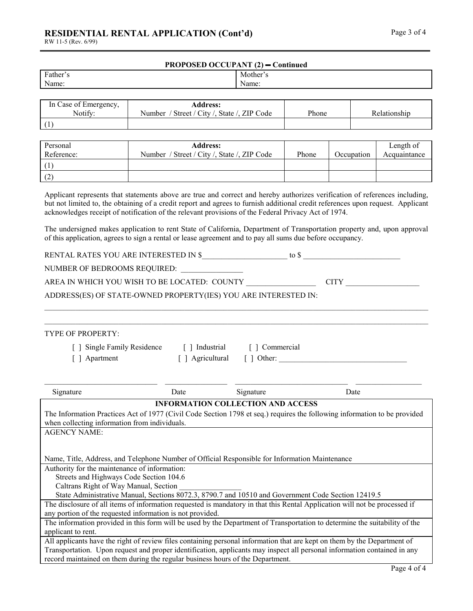# **RESIDENTIAL RENTAL APPLICATION (Cont'd)** Page 3 of 4

RW 11-5 (Rev. 6/99)

| ι u) | $\mathbf{u}$ |
|------|--------------|
|      |              |
|      |              |
|      |              |

| <b>PROPOSED OCCUPANT (2) – Continued</b> |          |  |  |
|------------------------------------------|----------|--|--|
| Father's                                 | Mother's |  |  |
| Name:                                    | Name:    |  |  |
|                                          |          |  |  |

| In Case of Emergency,<br>Notify: | <b>Address:</b><br>Number / Street / City /, State /, ZIP Code | Phone | Relationship |
|----------------------------------|----------------------------------------------------------------|-------|--------------|
|                                  |                                                                |       |              |

| Personal<br>Reference: | <b>Address:</b><br>Number / Street / City /, State /, ZIP Code | Phone | Occupation | Length of<br>Acquaintance |
|------------------------|----------------------------------------------------------------|-------|------------|---------------------------|
|                        |                                                                |       |            |                           |
| (2)                    |                                                                |       |            |                           |

Applicant represents that statements above are true and correct and hereby authorizes verification of references including, but not limited to, the obtaining of a credit report and agrees to furnish additional credit references upon request. Applicant acknowledges receipt of notification of the relevant provisions of the Federal Privacy Act of 1974.

The undersigned makes application to rent State of California, Department of Transportation property and, upon approval of this application, agrees to sign a rental or lease agreement and to pay all sums due before occupancy.

 $\_$  , and the state of the state of the state of the state of the state of the state of the state of the state of the state of the state of the state of the state of the state of the state of the state of the state of the

RENTAL RATES YOU ARE INTERESTED IN \$\_\_\_\_\_\_\_\_\_\_\_\_\_\_\_\_\_\_\_\_\_\_ to \$ \_\_\_\_\_\_\_\_\_\_\_\_\_\_\_\_\_\_\_\_\_\_\_\_\_

NUMBER OF BEDROOMS REQUIRED:

AREA IN WHICH YOU WISH TO BE LOCATED: COUNTY \_\_\_\_\_\_\_\_\_\_\_\_\_\_\_\_\_\_ CITY \_\_\_\_\_\_\_\_\_\_\_\_\_\_\_\_\_\_\_

ADDRESS(ES) OF STATE-OWNED PROPERTY(IES) YOU ARE INTERESTED IN:

| <b>TYPE OF PROPERTY:</b>                                                                                                   |              |                                          |                 |
|----------------------------------------------------------------------------------------------------------------------------|--------------|------------------------------------------|-----------------|
| <b>Single Family Residence</b>                                                                                             | Industrial   | [ ] Commercial                           |                 |
| Apartment                                                                                                                  | Agricultural | $\lceil$ $\rceil$ Other:                 |                 |
|                                                                                                                            |              |                                          |                 |
|                                                                                                                            |              |                                          |                 |
| Signature                                                                                                                  | Date         | Signature                                | Date            |
|                                                                                                                            |              | <b>INFORMATION COLLECTION AND ACCESS</b> |                 |
| The Information Practices Act of 1977 (Civil Code Section 1798 et seq.) requires the following information to be provided  |              |                                          |                 |
| when collecting information from individuals.                                                                              |              |                                          |                 |
| <b>AGENCY NAME:</b>                                                                                                        |              |                                          |                 |
|                                                                                                                            |              |                                          |                 |
|                                                                                                                            |              |                                          |                 |
| Name, Title, Address, and Telephone Number of Official Responsible for Information Maintenance                             |              |                                          |                 |
| Authority for the maintenance of information:                                                                              |              |                                          |                 |
| Streets and Highways Code Section 104.6                                                                                    |              |                                          |                 |
| Caltrans Right of Way Manual, Section                                                                                      |              |                                          |                 |
| State Administrative Manual, Sections 8072.3, 8790.7 and 10510 and Government Code Section 12419.5                         |              |                                          |                 |
| The disclosure of all items of information requested is mandatory in that this Rental Application will not be processed if |              |                                          |                 |
| any portion of the requested information is not provided.                                                                  |              |                                          |                 |
| The information provided in this form will be used by the Department of Transportation to determine the suitability of the |              |                                          |                 |
| applicant to rent.                                                                                                         |              |                                          |                 |
| All applicants have the right of review files containing personal information that are kept on them by the Department of   |              |                                          |                 |
| Transportation. Upon request and proper identification, applicants may inspect all personal information contained in any   |              |                                          |                 |
| record maintained on them during the regular business hours of the Department.                                             |              |                                          |                 |
|                                                                                                                            |              |                                          | Page $4$ of $4$ |